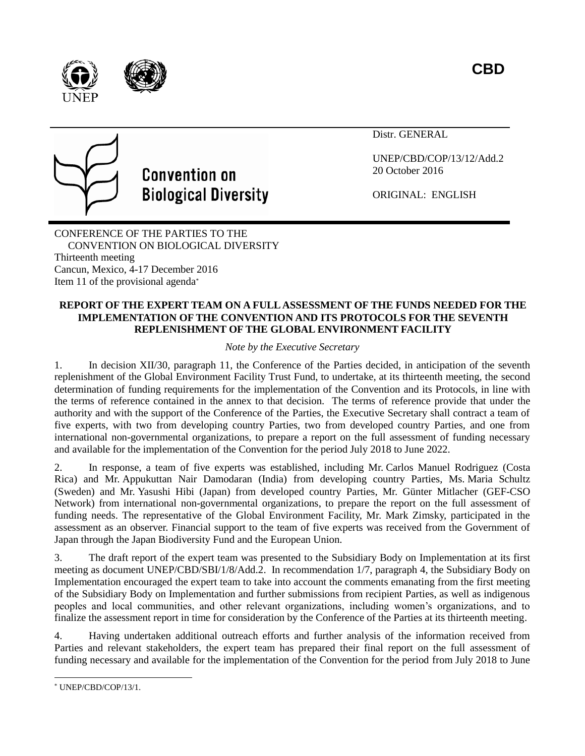





Distr. GENERAL

UNEP/CBD/COP/13/12/Add.2 20 October 2016

ORIGINAL: ENGLISH

CONFERENCE OF THE PARTIES TO THE CONVENTION ON BIOLOGICAL DIVERSITY Thirteenth meeting Cancun, Mexico, 4-17 December 2016 Item 11 of the provisional agenda\*

#### **REPORT OF THE EXPERT TEAM ON A FULL ASSESSMENT OF THE FUNDS NEEDED FOR THE IMPLEMENTATION OF THE CONVENTION AND ITS PROTOCOLS FOR THE SEVENTH REPLENISHMENT OF THE GLOBAL ENVIRONMENT FACILITY**

*Note by the Executive Secretary*

1. In decision XII/30, paragraph 11, the Conference of the Parties decided, in anticipation of the seventh replenishment of the Global Environment Facility Trust Fund, to undertake, at its thirteenth meeting, the second determination of funding requirements for the implementation of the Convention and its Protocols, in line with the terms of reference contained in the annex to that decision. The terms of reference provide that under the authority and with the support of the Conference of the Parties, the Executive Secretary shall contract a team of five experts, with two from developing country Parties, two from developed country Parties, and one from international non-governmental organizations, to prepare a report on the full assessment of funding necessary and available for the implementation of the Convention for the period July 2018 to June 2022.

2. In response, a team of five experts was established, including Mr. Carlos Manuel Rodriguez (Costa Rica) and Mr. Appukuttan Nair Damodaran (India) from developing country Parties, Ms. Maria Schultz (Sweden) and Mr. Yasushi Hibi (Japan) from developed country Parties, Mr. Günter Mitlacher (GEF-CSO Network) from international non-governmental organizations, to prepare the report on the full assessment of funding needs. The representative of the Global Environment Facility, Mr. Mark Zimsky, participated in the assessment as an observer. Financial support to the team of five experts was received from the Government of Japan through the Japan Biodiversity Fund and the European Union.

3. The draft report of the expert team was presented to the Subsidiary Body on Implementation at its first meeting as document UNEP/CBD/SBI/1/8/Add.2. In recommendation 1/7, paragraph 4, the Subsidiary Body on Implementation encouraged the expert team to take into account the comments emanating from the first meeting of the Subsidiary Body on Implementation and further submissions from recipient Parties, as well as indigenous peoples and local communities, and other relevant organizations, including women's organizations, and to finalize the assessment report in time for consideration by the Conference of the Parties at its thirteenth meeting.

4. Having undertaken additional outreach efforts and further analysis of the information received from Parties and relevant stakeholders, the expert team has prepared their final report on the full assessment of funding necessary and available for the implementation of the Convention for the period from July 2018 to June

<sup>-</sup>\* UNEP/CBD/COP/13/1.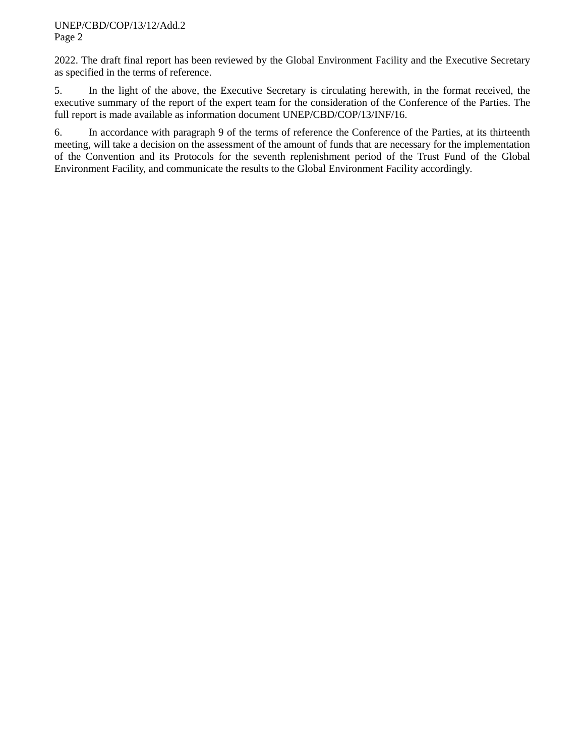2022. The draft final report has been reviewed by the Global Environment Facility and the Executive Secretary as specified in the terms of reference.

5. In the light of the above, the Executive Secretary is circulating herewith, in the format received, the executive summary of the report of the expert team for the consideration of the Conference of the Parties. The full report is made available as information document UNEP/CBD/COP/13/INF/16.

6. In accordance with paragraph 9 of the terms of reference the Conference of the Parties, at its thirteenth meeting, will take a decision on the assessment of the amount of funds that are necessary for the implementation of the Convention and its Protocols for the seventh replenishment period of the Trust Fund of the Global Environment Facility, and communicate the results to the Global Environment Facility accordingly.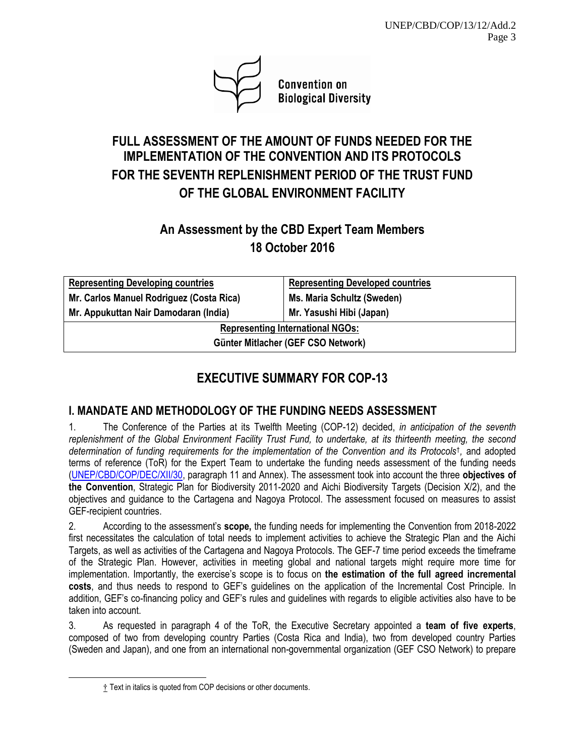

**Convention on Biological Diversity** 

## **FULL ASSESSMENT OF THE AMOUNT OF FUNDS NEEDED FOR THE IMPLEMENTATION OF THE CONVENTION AND ITS PROTOCOLS FOR THE SEVENTH REPLENISHMENT PERIOD OF THE TRUST FUND OF THE GLOBAL ENVIRONMENT FACILITY**

## **An Assessment by the CBD Expert Team Members 18 October 2016**

| <b>Representing Developing countries</b> | <b>Representing Developed countries</b> |  |  |  |
|------------------------------------------|-----------------------------------------|--|--|--|
| Mr. Carlos Manuel Rodriguez (Costa Rica) | Ms. Maria Schultz (Sweden)              |  |  |  |
| Mr. Appukuttan Nair Damodaran (India)    | Mr. Yasushi Hibi (Japan)                |  |  |  |
| <b>Representing International NGOs:</b>  |                                         |  |  |  |
| Günter Mitlacher (GEF CSO Network)       |                                         |  |  |  |

## **EXECUTIVE SUMMARY FOR COP-13**

## **I. MANDATE AND METHODOLOGY OF THE FUNDING NEEDS ASSESSMENT**

1. The Conference of the Parties at its Twelfth Meeting (COP-12) decided, *in anticipation of the seventh replenishment of the Global Environment Facility Trust Fund, to undertake, at its thirteenth meeting, the second determination of funding requirements for the implementation of the Convention and its Protocols*† *,* and adopted terms of reference (ToR) for the Expert Team to undertake the funding needs assessment of the funding needs [\(UNEP/CBD/COP/DEC/XII/30,](https://www.cbd.int/doc/decisions/cop-12/cop-12-dec-30-en.pdf) paragraph 11 and Annex). The assessment took into account the three **objectives of the Convention**, Strategic Plan for Biodiversity 2011-2020 and Aichi Biodiversity Targets (Decision X/2), and the objectives and guidance to the Cartagena and Nagoya Protocol. The assessment focused on measures to assist GEF-recipient countries.

2. According to the assessment's **scope,** the funding needs for implementing the Convention from 2018-2022 first necessitates the calculation of total needs to implement activities to achieve the Strategic Plan and the Aichi Targets, as well as activities of the Cartagena and Nagoya Protocols. The GEF-7 time period exceeds the timeframe of the Strategic Plan. However, activities in meeting global and national targets might require more time for implementation. Importantly, the exercise's scope is to focus on **the estimation of the full agreed incremental costs**, and thus needs to respond to GEF's guidelines on the application of the Incremental Cost Principle. In addition, GEF's co-financing policy and GEF's rules and guidelines with regards to eligible activities also have to be taken into account.

3. As requested in paragraph 4 of the ToR, the Executive Secretary appointed a **team of five experts**, composed of two from developing country Parties (Costa Rica and India), two from developed country Parties (Sweden and Japan), and one from an international non-governmental organization (GEF CSO Network) to prepare

-

<sup>†</sup> Text in italics is quoted from COP decisions or other documents.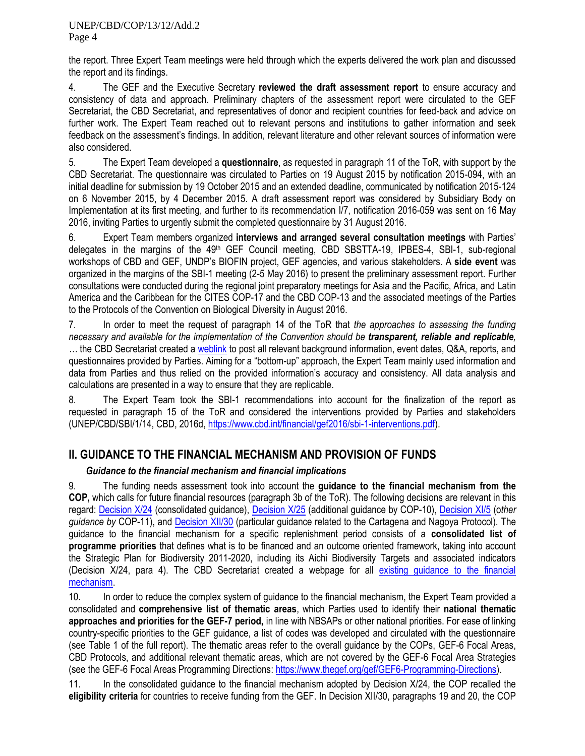the report. Three Expert Team meetings were held through which the experts delivered the work plan and discussed the report and its findings.

4. The GEF and the Executive Secretary **reviewed the draft assessment report** to ensure accuracy and consistency of data and approach. Preliminary chapters of the assessment report were circulated to the GEF Secretariat, the CBD Secretariat, and representatives of donor and recipient countries for feed-back and advice on further work. The Expert Team reached out to relevant persons and institutions to gather information and seek feedback on the assessment's findings. In addition, relevant literature and other relevant sources of information were also considered.

5. The Expert Team developed a **questionnaire**, as requested in paragraph 11 of the ToR, with support by the CBD Secretariat. The questionnaire was circulated to Parties on 19 August 2015 by notification 2015-094, with an initial deadline for submission by 19 October 2015 and an extended deadline, communicated by notification 2015-124 on 6 November 2015, by 4 December 2015. A draft assessment report was considered by Subsidiary Body on Implementation at its first meeting, and further to its recommendation I/7, notification 2016-059 was sent on 16 May 2016, inviting Parties to urgently submit the completed questionnaire by 31 August 2016.

6. Expert Team members organized **interviews and arranged several consultation meetings** with Parties' delegates in the margins of the 49<sup>th</sup> GEF Council meeting, CBD SBSTTA-19, IPBES-4, SBI-1, sub-regional workshops of CBD and GEF, UNDP's BIOFIN project, GEF agencies, and various stakeholders. A **side event** was organized in the margins of the SBI-1 meeting (2-5 May 2016) to present the preliminary assessment report. Further consultations were conducted during the regional joint preparatory meetings for Asia and the Pacific, Africa, and Latin America and the Caribbean for the CITES COP-17 and the CBD COP-13 and the associated meetings of the Parties to the Protocols of the Convention on Biological Diversity in August 2016.

7. In order to meet the request of paragraph 14 of the ToR that *the approaches to assessing the funding necessary and available for the implementation of the Convention should be transparent, reliable and replicable, …* the CBD Secretariat created a [weblink](https://www.cbd.int/financial/gef7needs.shtml) to post all relevant background information, event dates, Q&A, reports, and questionnaires provided by Parties. Aiming for a "bottom-up" approach, the Expert Team mainly used information and data from Parties and thus relied on the provided information's accuracy and consistency. All data analysis and calculations are presented in a way to ensure that they are replicable.

8. The Expert Team took the SBI-1 recommendations into account for the finalization of the report as requested in paragraph 15 of the ToR and considered the interventions provided by Parties and stakeholders (UNEP/CBD/SBI/1/14, CBD, 2016d, [https://www.cbd.int/financial/gef2016/sbi-1-interventions.pdf\)](https://www.cbd.int/financial/gef2016/sbi-1-interventions.pdf).

### **II. GUIDANCE TO THE FINANCIAL MECHANISM AND PROVISION OF FUNDS**

### *Guidance to the financial mechanism and financial implications*

9. The funding needs assessment took into account the **guidance to the financial mechanism from the COP,** which calls for future financial resources (paragraph 3b of the ToR). The following decisions are relevant in this regard: [Decision X/24](https://www.cbd.int/doc/decisions/cop-10/cop-10-dec-24-en.pdf) (consolidated guidance), [Decision X/25](https://www.cbd.int/doc/decisions/cop-10/cop-10-dec-25-en.pdf) (additional guidance by COP-10), [Decision XI/5](https://www.cbd.int/doc/decisions/cop-11/cop-11-dec-05-en.pdf) (o*ther guidance by* COP-11), and [Decision XII/30](https://www.cbd.int/decision/cop/default.shtml?id=13393) (particular guidance related to the Cartagena and Nagoya Protocol). The guidance to the financial mechanism for a specific replenishment period consists of a **consolidated list of programme priorities** that defines what is to be financed and an outcome oriented framework, taking into account the Strategic Plan for Biodiversity 2011-2020, including its Aichi Biodiversity Targets and associated indicators (Decision X/24, para 4). The CBD Secretariat created a webpage for all existing quidance to the financial [mechanism.](https://www.cbd.int/financial/consolidated.shtml)

10. In order to reduce the complex system of guidance to the financial mechanism, the Expert Team provided a consolidated and **comprehensive list of thematic areas**, which Parties used to identify their **national thematic approaches and priorities for the GEF-7 period,** in line with NBSAPs or other national priorities. For ease of linking country-specific priorities to the GEF guidance, a list of codes was developed and circulated with the questionnaire (see Table 1 of the full report). The thematic areas refer to the overall guidance by the COPs, GEF-6 Focal Areas, CBD Protocols, and additional relevant thematic areas, which are not covered by the GEF-6 Focal Area Strategies (see the GEF-6 Focal Areas Programming Directions: [https://www.thegef.org/gef/GEF6-Programming-Directions\)](https://www.thegef.org/gef/GEF6-Programming-Directions).

11. In the consolidated guidance to the financial mechanism adopted by Decision X/24, the COP recalled the **eligibility criteria** for countries to receive funding from the GEF. In Decision XII/30, paragraphs 19 and 20, the COP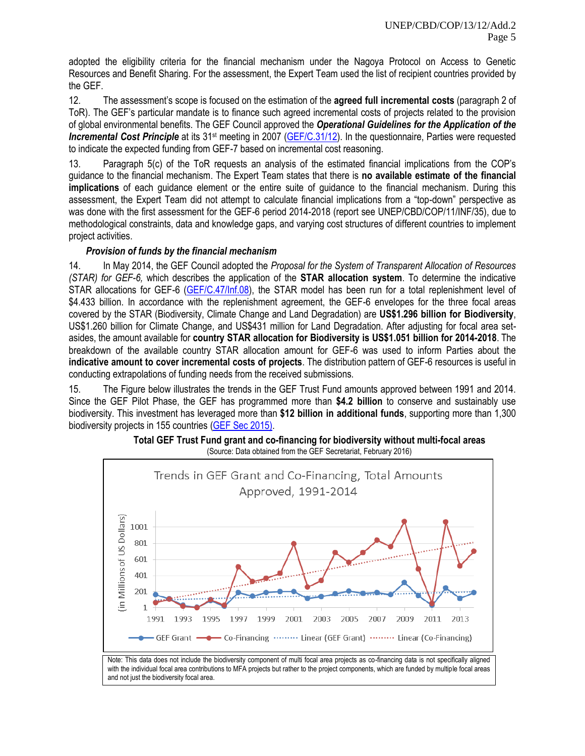adopted the eligibility criteria for the financial mechanism under the Nagoya Protocol on Access to Genetic Resources and Benefit Sharing. For the assessment, the Expert Team used the list of recipient countries provided by the GEF.

12. The assessment's scope is focused on the estimation of the **agreed full incremental costs** (paragraph 2 of ToR). The GEF's particular mandate is to finance such agreed incremental costs of projects related to the provision of global environmental benefits. The GEF Council approved the *Operational Guidelines for the Application of the*  **Incremental Cost Principle** at its 31<sup>st</sup> meeting in 2007 [\(GEF/C.31/12\)](https://www.thegef.org/gef/sites/thegef.org/files/documents/C.31.12%20Operational%20Guidelines%20for%20Incremental%20Costs.pdf). In the questionnaire, Parties were requested to indicate the expected funding from GEF-7 based on incremental cost reasoning.

13. Paragraph 5(c) of the ToR requests an analysis of the estimated financial implications from the COP's guidance to the financial mechanism. The Expert Team states that there is **no available estimate of the financial implications** of each guidance element or the entire suite of guidance to the financial mechanism. During this assessment, the Expert Team did not attempt to calculate financial implications from a "top-down" perspective as was done with the first assessment for the GEF-6 period 2014-2018 (report see UNEP/CBD/COP/11/INF/35), due to methodological constraints, data and knowledge gaps, and varying cost structures of different countries to implement project activities.

#### *Provision of funds by the financial mechanism*

14. In May 2014, the GEF Council adopted the *Proposal for the System of Transparent Allocation of Resources (STAR) for GEF-6,* which describes the application of the **STAR allocation system**. To determine the indicative STAR allocations for GEF-6 [\(GEF/C.47/Inf.08\)](https://www.thegef.org/gef/sites/thegef.org/files/documents/gef6-star.pdf), the STAR model has been run for a total replenishment level of \$4.433 billion. In accordance with the replenishment agreement, the GEF-6 envelopes for the three focal areas covered by the STAR (Biodiversity, Climate Change and Land Degradation) are **US\$1.296 billion for Biodiversity**, US\$1.260 billion for Climate Change, and US\$431 million for Land Degradation. After adjusting for focal area setasides, the amount available for **country STAR allocation for Biodiversity is US\$1.051 billion for 2014-2018**. The breakdown of the available country STAR allocation amount for GEF-6 was used to inform Parties about the **indicative amount to cover incremental costs of projects**. The distribution pattern of GEF-6 resources is useful in conducting extrapolations of funding needs from the received submissions.

15. The Figure below illustrates the trends in the GEF Trust Fund amounts approved between 1991 and 2014. Since the GEF Pilot Phase, the GEF has programmed more than **\$4.2 billion** to conserve and sustainably use biodiversity. This investment has leveraged more than **\$12 billion in additional funds**, supporting more than 1,300 biodiversity projects in 155 countries [\(GEF Sec 2015\).](https://www.thegef.org/gef/sites/thegef.org/files/publication/GEF_numbers2015_CRA_bl2_web.pdf)



**Total GEF Trust Fund grant and co-financing for biodiversity without multi-focal areas** (Source: Data obtained from the GEF Secretariat, February 2016)

Note: This data does not include the biodiversity component of multi focal area projects as co-financing data is not specifically aligned with the individual focal area contributions to MFA projects but rather to the project components, which are funded by multiple focal areas and not just the biodiversity focal area.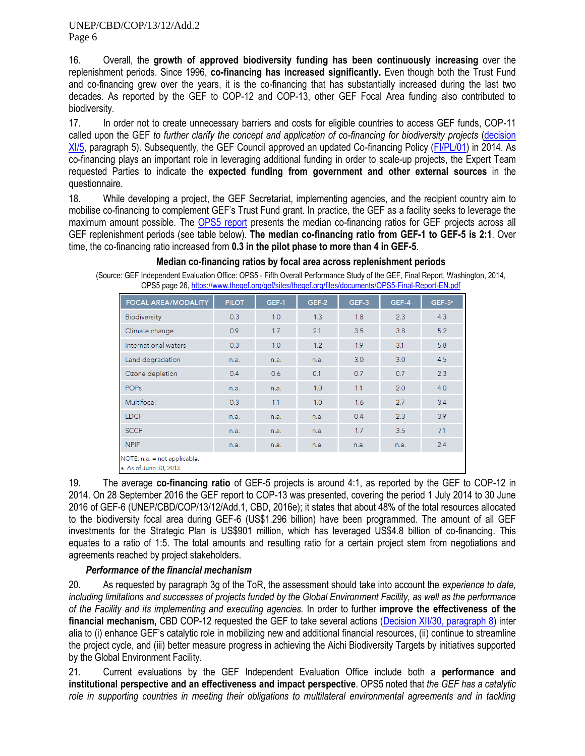16. Overall, the **growth of approved biodiversity funding has been continuously increasing** over the replenishment periods. Since 1996, **co-financing has increased significantly.** Even though both the Trust Fund and co-financing grew over the years, it is the co-financing that has substantially increased during the last two decades. As reported by the GEF to COP-12 and COP-13, other GEF Focal Area funding also contributed to biodiversity.

17. In order not to create unnecessary barriers and costs for eligible countries to access GEF funds, COP-11 called upon the GEF *to further clarify the concept and application of co-financing for biodiversity projects* [\(decision](https://www.cbd.int/decision/cop/default.shtml?id=13166)  [XI/5,](https://www.cbd.int/decision/cop/default.shtml?id=13166) paragraph 5). Subsequently, the GEF Council approved an updated Co-financing Policy [\(FI/PL/01\)](https://www.thegef.org/gef/sites/thegef.org/files/Co-financing_Policy.pdf) in 2014. As co-financing plays an important role in leveraging additional funding in order to scale-up projects, the Expert Team requested Parties to indicate the **expected funding from government and other external sources** in the questionnaire.

18. While developing a project, the GEF Secretariat, implementing agencies, and the recipient country aim to mobilise co-financing to complement GEF's Trust Fund grant. In practice, the GEF as a facility seeks to leverage the maximum amount possible. The [OPS5 report](https://www.thegef.org/gef/sites/thegef.org/files/documents/OPS5-Final-Report-EN.pdf) presents the median co-financing ratios for GEF projects across all GEF replenishment periods (see table below). **The median co-financing ratio from GEF-1 to GEF-5 is 2:1**. Over time, the co-financing ratio increased from **0.3 in the pilot phase to more than 4 in GEF-5**.

| <b>FOCAL AREA/MODALITY</b>                              | <b>PILOT</b> | GEF-1 | GEF-2 | GEF-3 | GEF-4 | $GEF-5^a$ |
|---------------------------------------------------------|--------------|-------|-------|-------|-------|-----------|
| <b>Biodiversity</b>                                     | 0.3          | 1.0   | 1.3   | 1.8   | 2.3   | 4.3       |
| Climate change                                          | 0.9          | 1.7   | 2.1   | 3.5   | 3.8   | 5.2       |
| International waters                                    | 0.3          | 1.0   | 1.2   | 1.9   | 3.1   | 5.8       |
| Land degradation                                        | n.a.         | n.a.  | n.a.  | 3.0   | 3.0   | 4.5       |
| Ozone depletion                                         | 0.4          | 0.6   | 0.1   | 0.7   | 0.7   | 2.3       |
| <b>POPs</b>                                             | n.a.         | n.a.  | 1.0   | 1.1   | 2.0   | 4.0       |
| Multifocal                                              | 0.3          | 1.1   | 1.0   | 1.6   | 2.7   | 3.4       |
| <b>LDCF</b>                                             | n.a.         | n.a.  | n.a.  | 0.4   | 2.3   | 3.9       |
| <b>SCCF</b>                                             | n.a.         | n.a.  | n.a.  | 1.7   | 3.5   | 7.1       |
| <b>NPIF</b>                                             | n.a.         | n.a.  | n.a.  | n.a.  | n.a.  | 2.4       |
| NOTE: n.a. = not applicable.<br>a. As of June 30, 2013. |              |       |       |       |       |           |

#### **Median co-financing ratios by focal area across replenishment periods**

(Source: GEF Independent Evaluation Office: OPS5 - Fifth Overall Performance Study of the GEF, Final Report, Washington, 2014, OPS5 page 26[, https://www.thegef.org/gef/sites/thegef.org/files/documents/OPS5-Final-Report-EN.pdf](https://www.thegef.org/gef/sites/thegef.org/files/documents/OPS5-Final-Report-EN.pdf)

19. The average **co-financing ratio** of GEF-5 projects is around 4:1, as reported by the GEF to COP-12 in 2014. On 28 September 2016 the GEF report to COP-13 was presented, covering the period 1 July 2014 to 30 June 2016 of GEF-6 (UNEP/CBD/COP/13/12/Add.1, CBD, 2016e); it states that about 48% of the total resources allocated to the biodiversity focal area during GEF-6 (US\$1.296 billion) have been programmed. The amount of all GEF investments for the Strategic Plan is US\$901 million, which has leveraged US\$4.8 billion of co-financing. This equates to a ratio of 1:5. The total amounts and resulting ratio for a certain project stem from negotiations and agreements reached by project stakeholders.

### *Performance of the financial mechanism*

20. As requested by paragraph 3g of the ToR, the assessment should take into account the *experience to date, including limitations and successes of projects funded by the Global Environment Facility, as well as the performance of the Facility and its implementing and executing agencies.* In order to further **improve the effectiveness of the financial mechanism,** CBD COP-12 requested the GEF to take several actions [\(Decision XII/30, paragraph 8\)](https://www.cbd.int/decision/cop/default.shtml?id=13393) inter alia to (i) enhance GEF's catalytic role in mobilizing new and additional financial resources, (ii) continue to streamline the project cycle, and (iii) better measure progress in achieving the Aichi Biodiversity Targets by initiatives supported by the Global Environment Facility.

21. Current evaluations by the GEF Independent Evaluation Office include both a **performance and institutional perspective and an effectiveness and impact perspective**. OPS5 noted that *the GEF has a catalytic*  role in supporting countries in meeting their obligations to multilateral environmental agreements and in tackling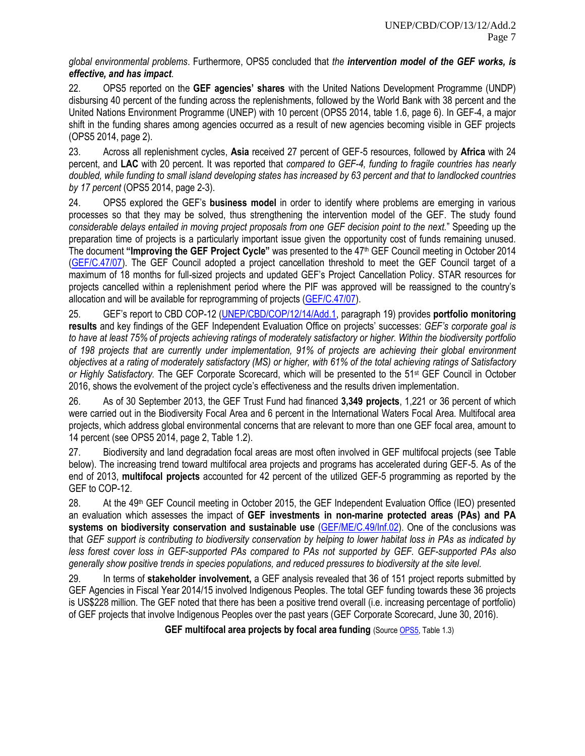*global environmental problems*. Furthermore, OPS5 concluded that *the intervention model of the GEF works, is effective, and has impact*.

22. OPS5 reported on the **GEF agencies' shares** with the United Nations Development Programme (UNDP) disbursing 40 percent of the funding across the replenishments, followed by the World Bank with 38 percent and the United Nations Environment Programme (UNEP) with 10 percent (OPS5 2014, table 1.6, page 6). In GEF-4, a major shift in the funding shares among agencies occurred as a result of new agencies becoming visible in GEF projects (OPS5 2014, page 2).

23. Across all replenishment cycles, **Asia** received 27 percent of GEF-5 resources, followed by **Africa** with 24 percent, and **LAC** with 20 percent. It was reported that *compared to GEF-4, funding to fragile countries has nearly doubled, while funding to small island developing states has increased by 63 percent and that to landlocked countries by 17 percent* (OPS5 2014, page 2-3).

24. OPS5 explored the GEF's **business model** in order to identify where problems are emerging in various processes so that they may be solved, thus strengthening the intervention model of the GEF. The study found *considerable delays entailed in moving project proposals from one GEF decision point to the next.*" Speeding up the preparation time of projects is a particularly important issue given the opportunity cost of funds remaining unused. The document **"Improving the GEF Project Cycle"** was presented to the 47th GEF Council meeting in October 2014 [\(GEF/C.47/07\)](https://www.thegef.org/gef/sites/thegef.org/files/documents/19_EN_GEF.C.47.07_Improving_the_GEF_Project_Cycle.pdf). The GEF Council adopted a project cancellation threshold to meet the GEF Council target of a maximum of 18 months for full-sized projects and updated GEF's Project Cancellation Policy. STAR resources for projects cancelled within a replenishment period where the PIF was approved will be reassigned to the country's allocation and will be available for reprogramming of projects [\(GEF/C.47/07\)](https://www.thegef.org/gef/sites/thegef.org/files/documents/19_EN_GEF.C.47.07_Improving_the_GEF_Project_Cycle.pdf).

25. GEF's report to CBD COP-12 [\(UNEP/CBD/COP/12/14/Add.1,](https://www.cbd.int/doc/meetings/cop/cop-12/official/cop-12-14-add1-part1-en.pdf) paragraph 19) provides **portfolio monitoring results** and key findings of the GEF Independent Evaluation Office on projects' successes: *GEF's corporate goal is to have at least 75% of projects achieving ratings of moderately satisfactory or higher. Within the biodiversity portfolio of 198 projects that are currently under implementation, 91% of projects are achieving their global environment objectives at a rating of moderately satisfactory (MS) or higher, with 61% of the total achieving ratings of Satisfactory or Highly Satisfactory.* The GEF Corporate Scorecard, which will be presented to the 51st GEF Council in October 2016, shows the evolvement of the project cycle's effectiveness and the results driven implementation.

26. As of 30 September 2013, the GEF Trust Fund had financed **3,349 projects**, 1,221 or 36 percent of which were carried out in the Biodiversity Focal Area and 6 percent in the International Waters Focal Area. Multifocal area projects, which address global environmental concerns that are relevant to more than one GEF focal area, amount to 14 percent (see OPS5 2014, page 2, Table 1.2).

27. Biodiversity and land degradation focal areas are most often involved in GEF multifocal projects (see Table below). The increasing trend toward multifocal area projects and programs has accelerated during GEF-5. As of the end of 2013, **multifocal projects** accounted for 42 percent of the utilized GEF-5 programming as reported by the GEF to COP-12.

28. At the 49<sup>th</sup> GEF Council meeting in October 2015, the GEF Independent Evaluation Office (IEO) presented an evaluation which assesses the impact of **GEF investments in non-marine protected areas (PAs) and PA systems on biodiversity conservation and sustainable use** [\(GEF/ME/C.49/Inf.02\)](https://www.thegef.org/gef/sites/thegef.org/files/documents/EN_GEF.ME_C.49.inf_02_Biodiversity_Impact_Eval_Report_2015.pdf). One of the conclusions was that *GEF support is contributing to biodiversity conservation by helping to lower habitat loss in PAs as indicated by less forest cover loss in GEF-supported PAs compared to PAs not supported by GEF. GEF-supported PAs also generally show positive trends in species populations, and reduced pressures to biodiversity at the site level.* 

29. In terms of **stakeholder involvement,** a GEF analysis revealed that 36 of 151 project reports submitted by GEF Agencies in Fiscal Year 2014/15 involved Indigenous Peoples. The total GEF funding towards these 36 projects is US\$228 million. The GEF noted that there has been a positive trend overall (i.e. increasing percentage of portfolio) of GEF projects that involve Indigenous Peoples over the past years (GEF Corporate Scorecard, June 30, 2016).

**GEF multifocal area projects by focal area funding (Sourc[e OPS5,](https://www.thegef.org/gef/sites/thegef.org/files/documents/OPS5-Final-Report-EN.pdf) Table 1.3)**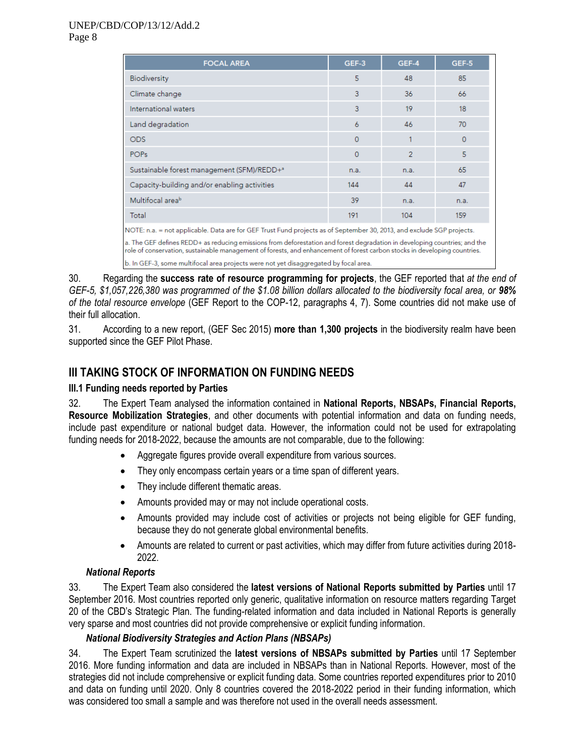| <b>FOCAL AREA</b>                                                                                                                                                                                                                                      | GEF-3    | GEF-4 | GEF-5    |  |  |  |
|--------------------------------------------------------------------------------------------------------------------------------------------------------------------------------------------------------------------------------------------------------|----------|-------|----------|--|--|--|
| <b>Biodiversity</b>                                                                                                                                                                                                                                    | 5        | 48    | 85       |  |  |  |
| Climate change                                                                                                                                                                                                                                         | 3        | 36    | 66       |  |  |  |
| International waters                                                                                                                                                                                                                                   | 3        | 19    | 18       |  |  |  |
| Land degradation                                                                                                                                                                                                                                       | 6        | 46    | 70       |  |  |  |
| <b>ODS</b>                                                                                                                                                                                                                                             | $\Omega$ |       | $\Omega$ |  |  |  |
| <b>POPs</b>                                                                                                                                                                                                                                            | $\Omega$ | 2     | 5        |  |  |  |
| Sustainable forest management (SFM)/REDD+ <sup>a</sup>                                                                                                                                                                                                 | n.a.     | n.a.  | 65       |  |  |  |
| Capacity-building and/or enabling activities                                                                                                                                                                                                           | 144      | 44    | 47       |  |  |  |
| Multifocal area <sup>b</sup>                                                                                                                                                                                                                           | 39       | n.a.  | n.a.     |  |  |  |
| Total                                                                                                                                                                                                                                                  | 191      | 104   | 159      |  |  |  |
| NOTE: n.a. = not applicable. Data are for GEF Trust Fund projects as of September 30, 2013, and exclude SGP projects.                                                                                                                                  |          |       |          |  |  |  |
| a. The GEF defines REDD+ as reducing emissions from deforestation and forest degradation in developing countries; and the<br>role of conservation, sustainable management of forests, and enhancement of forest carbon stocks in developing countries. |          |       |          |  |  |  |
| b. In GEF-3, some multifocal area projects were not yet disaggregated by focal area.                                                                                                                                                                   |          |       |          |  |  |  |

30. Regarding the **success rate of resource programming for projects**, the GEF reported that *at the end of*  GEF-5, \$1,057,226,380 was programmed of the \$1.08 billion dollars allocated to the biodiversity focal area. or 98% *of the total resource envelope* (GEF Report to the COP-12, paragraphs 4, 7). Some countries did not make use of their full allocation.

31. According to a new report, (GEF Sec 2015) **more than 1,300 projects** in the biodiversity realm have been supported since the GEF Pilot Phase.

### **III TAKING STOCK OF INFORMATION ON FUNDING NEEDS**

### **III.1 Funding needs reported by Parties**

32. The Expert Team analysed the information contained in **National Reports, NBSAPs, Financial Reports, Resource Mobilization Strategies**, and other documents with potential information and data on funding needs, include past expenditure or national budget data. However, the information could not be used for extrapolating funding needs for 2018-2022, because the amounts are not comparable, due to the following:

- Aggregate figures provide overall expenditure from various sources.
- They only encompass certain years or a time span of different years.
- They include different thematic areas.
- Amounts provided may or may not include operational costs.
- Amounts provided may include cost of activities or projects not being eligible for GEF funding, because they do not generate global environmental benefits.
- Amounts are related to current or past activities, which may differ from future activities during 2018- 2022.

### *National Reports*

33. The Expert Team also considered the **latest versions of National Reports submitted by Parties** until 17 September 2016. Most countries reported only generic, qualitative information on resource matters regarding Target 20 of the CBD's Strategic Plan. The funding-related information and data included in National Reports is generally very sparse and most countries did not provide comprehensive or explicit funding information.

### *National Biodiversity Strategies and Action Plans (NBSAPs)*

34. The Expert Team scrutinized the **latest versions of NBSAPs submitted by Parties** until 17 September 2016. More funding information and data are included in NBSAPs than in National Reports. However, most of the strategies did not include comprehensive or explicit funding data. Some countries reported expenditures prior to 2010 and data on funding until 2020. Only 8 countries covered the 2018-2022 period in their funding information, which was considered too small a sample and was therefore not used in the overall needs assessment.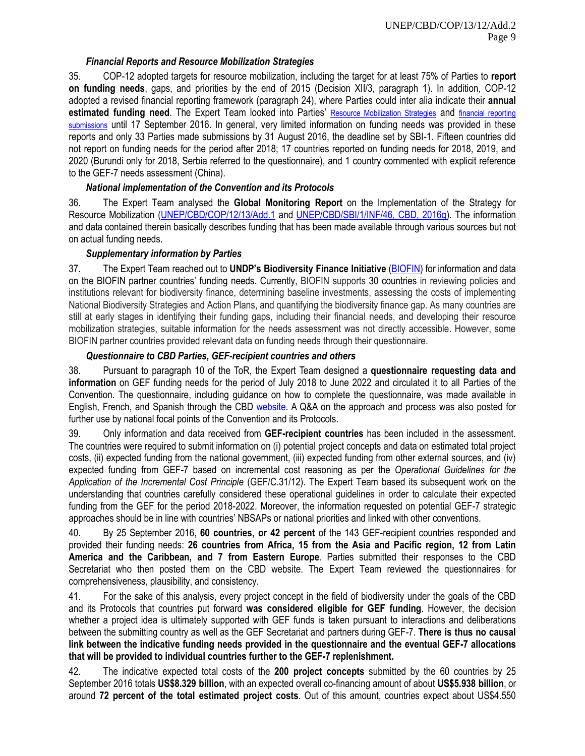#### *Financial Reports and Resource Mobilization Strategies*

35. COP-12 adopted targets for resource mobilization, including the target for at least 75% of Parties to **report on funding needs**, gaps, and priorities by the end of 2015 (Decision XII/3, paragraph 1). In addition, COP-12 adopted a revised financial reporting framework (paragraph 24), where Parties could inter alia indicate their **annual estimated funding need**. The Expert Team looked into Parties' [Resource Mobilization Strategies](https://www.cbd.int/financial/0015.shtml) and [financial reporting](https://chm.cbd.int/search/reporting-map?filter=resourceMobilisation) [submissions](https://www.cbd.int/financial/reporting.shtml) until 17 September 2016. In general, very limited information on funding needs was provided in these reports and only 33 Parties made submissions by 31 August 2016, the deadline set by SBI-1. Fifteen countries did not report on funding needs for the period after 2018; 17 countries reported on funding needs for 2018, 2019, and 2020 (Burundi only for 2018, Serbia referred to the questionnaire), and 1 country commented with explicit reference to the GEF-7 needs assessment (China).

#### *National implementation of the Convention and its Protocols*

36. The Expert Team analysed the **Global Monitoring Report** on the Implementation of the Strategy for Resource Mobilization [\(UNEP/CBD/COP/12/13/Add.1](https://www.cbd.int/doc/meetings/cop/cop-12/official/cop-12-13-add1-en.pdf) and UNEP/CBD/SBI/1/INF/46, CBD, 2016g). The information and data contained therein basically describes funding that has been made available through various sources but not on actual funding needs.

#### *Supplementary information by Parties*

37. The Expert Team reached out to **UNDP's Biodiversity Finance Initiative** [\(BIOFIN\)](http://biodiversityfinance.net/home) for information and data on the BIOFIN partner countries' funding needs. Currently, BIOFIN supports 30 countries in reviewing policies and institutions relevant for biodiversity finance, determining baseline investments, assessing the costs of implementing National Biodiversity Strategies and Action Plans, and quantifying the biodiversity finance gap. As many countries are still at early stages in identifying their funding gaps, including their financial needs, and developing their resource mobilization strategies, suitable information for the needs assessment was not directly accessible. However, some BIOFIN partner countries provided relevant data on funding needs through their questionnaire.

#### *Questionnaire to CBD Parties, GEF-recipient countries and others*

38. Pursuant to paragraph 10 of the ToR, the Expert Team designed a **questionnaire requesting data and information** on GEF funding needs for the period of July 2018 to June 2022 and circulated it to all Parties of the Convention. The questionnaire, including guidance on how to complete the questionnaire, was made available in English, French, and Spanish through the CBD [website.](https://www.cbd.int/financial/survey2016.shtml) A Q&A on the approach and process was also posted for further use by national focal points of the Convention and its Protocols.

39. Only information and data received from **GEF-recipient countries** has been included in the assessment. The countries were required to submit information on (i) potential project concepts and data on estimated total project costs, (ii) expected funding from the national government, (iii) expected funding from other external sources, and (iv) expected funding from GEF-7 based on incremental cost reasoning as per the *Operational Guidelines for the Application of the Incremental Cost Principle* (GEF/C.31/12). The Expert Team based its subsequent work on the understanding that countries carefully considered these operational guidelines in order to calculate their expected funding from the GEF for the period 2018-2022. Moreover, the information requested on potential GEF-7 strategic approaches should be in line with countries' NBSAPs or national priorities and linked with other conventions.

40. By 25 September 2016, **60 countries, or 42 percent** of the 143 GEF-recipient countries responded and provided their funding needs: **26 countries from Africa, 15 from the Asia and Pacific region, 12 from Latin America and the Caribbean, and 7 from Eastern Europe**. Parties submitted their responses to the CBD Secretariat who then posted them on the CBD website. The Expert Team reviewed the questionnaires for comprehensiveness, plausibility, and consistency.

41. For the sake of this analysis, every project concept in the field of biodiversity under the goals of the CBD and its Protocols that countries put forward **was considered eligible for GEF funding**. However, the decision whether a project idea is ultimately supported with GEF funds is taken pursuant to interactions and deliberations between the submitting country as well as the GEF Secretariat and partners during GEF-7. **There is thus no causal link between the indicative funding needs provided in the questionnaire and the eventual GEF-7 allocations that will be provided to individual countries further to the GEF-7 replenishment.**

42. The indicative expected total costs of the **200 project concepts** submitted by the 60 countries by 25 September 2016 totals **US\$8.329 billion**, with an expected overall co-financing amount of about **US\$5.938 billion**, or around **72 percent of the total estimated project costs**. Out of this amount, countries expect about US\$4.550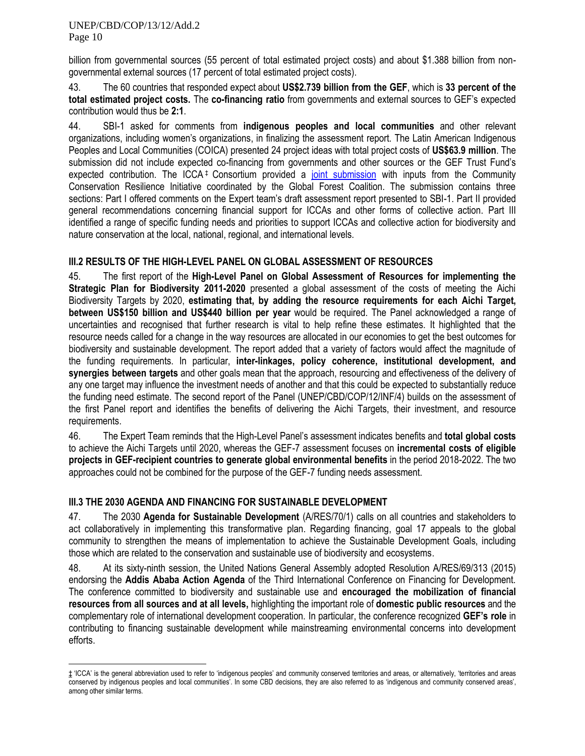billion from governmental sources (55 percent of total estimated project costs) and about \$1.388 billion from nongovernmental external sources (17 percent of total estimated project costs).

43. The 60 countries that responded expect about **US\$2.739 billion from the GEF**, which is **33 percent of the total estimated project costs.** The **co-financing ratio** from governments and external sources to GEF's expected contribution would thus be **2:1**.

44. SBI-1 asked for comments from **indigenous peoples and local communities** and other relevant organizations, including women's organizations, in finalizing the assessment report. The Latin American Indigenous Peoples and Local Communities (COICA) presented 24 project ideas with total project costs of **US\$63.9 million**. The submission did not include expected co-financing from governments and other sources or the GEF Trust Fund's expected contribution. The ICCA<sup>+</sup> Consortium provided a [joint submission](https://www.cbd.int/financial/gef2016/icca-gef7.pdf) with inputs from the Community Conservation Resilience Initiative coordinated by the Global Forest Coalition. The submission contains three sections: Part I offered comments on the Expert team's draft assessment report presented to SBI-1. Part II provided general recommendations concerning financial support for ICCAs and other forms of collective action. Part III identified a range of specific funding needs and priorities to support ICCAs and collective action for biodiversity and nature conservation at the local, national, regional, and international levels.

### **III.2 RESULTS OF THE HIGH-LEVEL PANEL ON GLOBAL ASSESSMENT OF RESOURCES**

45. The first report of the **High-Level Panel on Global Assessment of Resources for implementing the Strategic Plan for Biodiversity 2011-2020** presented a global assessment of the costs of meeting the Aichi Biodiversity Targets by 2020, **estimating that, by adding the resource requirements for each Aichi Target, between US\$150 billion and US\$440 billion per year** would be required. The Panel acknowledged a range of uncertainties and recognised that further research is vital to help refine these estimates. It highlighted that the resource needs called for a change in the way resources are allocated in our economies to get the best outcomes for biodiversity and sustainable development. The report added that a variety of factors would affect the magnitude of the funding requirements. In particular, **inter-linkages, policy coherence, institutional development, and synergies between targets** and other goals mean that the approach, resourcing and effectiveness of the delivery of any one target may influence the investment needs of another and that this could be expected to substantially reduce the funding need estimate. The second report of the Panel (UNEP/CBD/COP/12/INF/4) builds on the assessment of the first Panel report and identifies the benefits of delivering the Aichi Targets, their investment, and resource requirements.

46. The Expert Team reminds that the High-Level Panel's assessment indicates benefits and **total global costs** to achieve the Aichi Targets until 2020, whereas the GEF-7 assessment focuses on **incremental costs of eligible projects in GEF-recipient countries to generate global environmental benefits** in the period 2018-2022. The two approaches could not be combined for the purpose of the GEF-7 funding needs assessment.

#### **III.3 THE 2030 AGENDA AND FINANCING FOR SUSTAINABLE DEVELOPMENT**

47. The 2030 **Agenda for Sustainable Development** (A/RES/70/1) calls on all countries and stakeholders to act collaboratively in implementing this transformative plan. Regarding financing, goal 17 appeals to the global community to strengthen the means of implementation to achieve the Sustainable Development Goals, including those which are related to the conservation and sustainable use of biodiversity and ecosystems.

48. At its sixty-ninth session, the United Nations General Assembly adopted Resolution A/RES/69/313 (2015) endorsing the **Addis Ababa Action Agenda** of the Third International Conference on Financing for Development. The conference committed to biodiversity and sustainable use and **encouraged the mobilization of financial resources from all sources and at all levels,** highlighting the important role of **domestic public resources** and the complementary role of international development cooperation. In particular, the conference recognized **GEF's role** in contributing to financing sustainable development while mainstreaming environmental concerns into development efforts.

<sup>1</sup> ‡ 'ICCA' is the general abbreviation used to refer to 'indigenous peoples' and community conserved territories and areas, or alternatively, 'territories and areas conserved by indigenous peoples and local communities'. In some CBD decisions, they are also referred to as 'indigenous and community conserved areas', among other similar terms.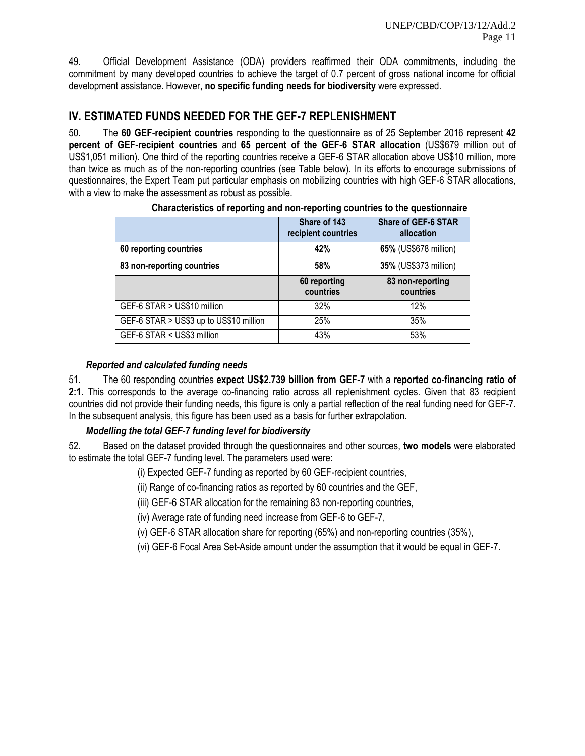49. Official Development Assistance (ODA) providers reaffirmed their ODA commitments, including the commitment by many developed countries to achieve the target of 0.7 percent of gross national income for official development assistance. However, **no specific funding needs for biodiversity** were expressed.

### **IV. ESTIMATED FUNDS NEEDED FOR THE GEF-7 REPLENISHMENT**

50. The **60 GEF-recipient countries** responding to the questionnaire as of 25 September 2016 represent **42 percent of GEF-recipient countries** and **65 percent of the GEF-6 STAR allocation** (US\$679 million out of US\$1,051 million). One third of the reporting countries receive a GEF-6 STAR allocation above US\$10 million, more than twice as much as of the non-reporting countries (see Table below). In its efforts to encourage submissions of questionnaires, the Expert Team put particular emphasis on mobilizing countries with high GEF-6 STAR allocations, with a view to make the assessment as robust as possible.

|                                         | Share of 143<br>recipient countries | <b>Share of GEF-6 STAR</b><br>allocation |
|-----------------------------------------|-------------------------------------|------------------------------------------|
| 60 reporting countries                  | 42%                                 | 65% (US\$678 million)                    |
| 83 non-reporting countries              | 58%                                 | 35% (US\$373 million)                    |
|                                         | 60 reporting<br>countries           | 83 non-reporting<br>countries            |
| GEF-6 STAR > US\$10 million             | 32%                                 | 12%                                      |
| GEF-6 STAR > US\$3 up to US\$10 million | 25%                                 | 35%                                      |
| GEF-6 STAR < US\$3 million              | 43%                                 | 53%                                      |

**Characteristics of reporting and non-reporting countries to the questionnaire**

#### *Reported and calculated funding needs*

51. The 60 responding countries **expect US\$2.739 billion from GEF-7** with a **reported co-financing ratio of 2:1**. This corresponds to the average co-financing ratio across all replenishment cycles. Given that 83 recipient countries did not provide their funding needs, this figure is only a partial reflection of the real funding need for GEF-7. In the subsequent analysis, this figure has been used as a basis for further extrapolation.

### *Modelling the total GEF-7 funding level for biodiversity*

52. Based on the dataset provided through the questionnaires and other sources, **two models** were elaborated to estimate the total GEF-7 funding level. The parameters used were:

- (i) Expected GEF-7 funding as reported by 60 GEF-recipient countries,
- (ii) Range of co-financing ratios as reported by 60 countries and the GEF,
- (iii) GEF-6 STAR allocation for the remaining 83 non-reporting countries,
- (iv) Average rate of funding need increase from GEF-6 to GEF-7,
- (v) GEF-6 STAR allocation share for reporting (65%) and non-reporting countries (35%),
- (vi) GEF-6 Focal Area Set-Aside amount under the assumption that it would be equal in GEF-7.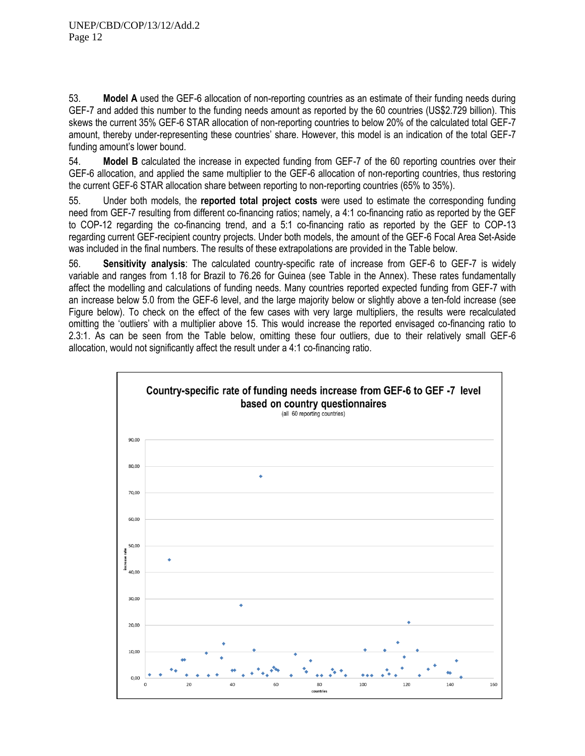53. **Model A** used the GEF-6 allocation of non-reporting countries as an estimate of their funding needs during GEF-7 and added this number to the funding needs amount as reported by the 60 countries (US\$2.729 billion). This skews the current 35% GEF-6 STAR allocation of non-reporting countries to below 20% of the calculated total GEF-7 amount, thereby under-representing these countries' share. However, this model is an indication of the total GEF-7 funding amount's lower bound.

54. **Model B** calculated the increase in expected funding from GEF-7 of the 60 reporting countries over their GEF-6 allocation, and applied the same multiplier to the GEF-6 allocation of non-reporting countries, thus restoring the current GEF-6 STAR allocation share between reporting to non-reporting countries (65% to 35%).

55. Under both models, the **reported total project costs** were used to estimate the corresponding funding need from GEF-7 resulting from different co-financing ratios; namely, a 4:1 co-financing ratio as reported by the GEF to COP-12 regarding the co-financing trend, and a 5:1 co-financing ratio as reported by the GEF to COP-13 regarding current GEF-recipient country projects. Under both models, the amount of the GEF-6 Focal Area Set-Aside was included in the final numbers. The results of these extrapolations are provided in the Table below.

56. **Sensitivity analysis**: The calculated country-specific rate of increase from GEF-6 to GEF-7 is widely variable and ranges from 1.18 for Brazil to 76.26 for Guinea (see Table in the Annex). These rates fundamentally affect the modelling and calculations of funding needs. Many countries reported expected funding from GEF-7 with an increase below 5.0 from the GEF-6 level, and the large majority below or slightly above a ten-fold increase (see Figure below). To check on the effect of the few cases with very large multipliers, the results were recalculated omitting the 'outliers' with a multiplier above 15. This would increase the reported envisaged co-financing ratio to 2.3:1. As can be seen from the Table below, omitting these four outliers, due to their relatively small GEF-6 allocation, would not significantly affect the result under a 4:1 co-financing ratio.

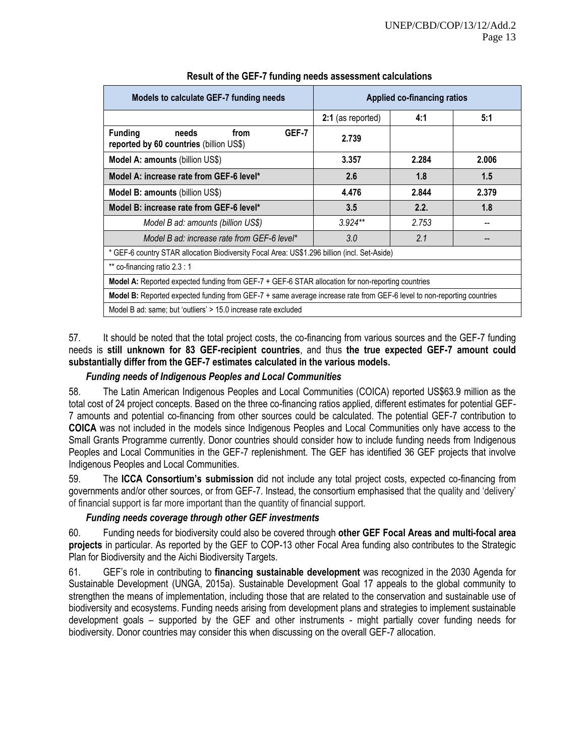| Models to calculate GEF-7 funding needs                                                                                | <b>Applied co-financing ratios</b> |       |       |  |  |  |
|------------------------------------------------------------------------------------------------------------------------|------------------------------------|-------|-------|--|--|--|
|                                                                                                                        | 2:1 (as reported)                  | 4:1   | 5:1   |  |  |  |
| GEF-7<br><b>Funding</b><br>needs<br>from<br>reported by 60 countries (billion US\$)                                    | 2.739                              |       |       |  |  |  |
| Model A: amounts (billion US\$)                                                                                        | 3.357                              | 2.284 | 2.006 |  |  |  |
| Model A: increase rate from GEF-6 level*                                                                               | 2.6                                | 1.8   | 1.5   |  |  |  |
| <b>Model B: amounts (billion US\$)</b>                                                                                 | 4.476                              | 2.844 | 2.379 |  |  |  |
| Model B: increase rate from GEF-6 level*                                                                               | 3.5                                | 2.2.  | 1.8   |  |  |  |
| Model B ad: amounts (billion US\$)                                                                                     | $3.924**$                          | 2.753 |       |  |  |  |
| Model B ad: increase rate from GEF-6 level*                                                                            | 3.0                                | 2.1   |       |  |  |  |
| * GEF-6 country STAR allocation Biodiversity Focal Area: US\$1.296 billion (incl. Set-Aside)                           |                                    |       |       |  |  |  |
| ** co-financing ratio 2.3 : 1                                                                                          |                                    |       |       |  |  |  |
| Model A: Reported expected funding from GEF-7 + GEF-6 STAR allocation for non-reporting countries                      |                                    |       |       |  |  |  |
| Model B: Reported expected funding from GEF-7 + same average increase rate from GEF-6 level to non-reporting countries |                                    |       |       |  |  |  |
| Model B ad: same; but 'outliers' > 15.0 increase rate excluded                                                         |                                    |       |       |  |  |  |

#### **Result of the GEF-7 funding needs assessment calculations**

57. It should be noted that the total project costs, the co-financing from various sources and the GEF-7 funding needs is **still unknown for 83 GEF-recipient countries**, and thus **the true expected GEF-7 amount could substantially differ from the GEF-7 estimates calculated in the various models.**

#### *Funding needs of Indigenous Peoples and Local Communities*

58. The Latin American Indigenous Peoples and Local Communities (COICA) reported US\$63.9 million as the total cost of 24 project concepts. Based on the three co-financing ratios applied, different estimates for potential GEF-7 amounts and potential co-financing from other sources could be calculated. The potential GEF-7 contribution to **COICA** was not included in the models since Indigenous Peoples and Local Communities only have access to the Small Grants Programme currently. Donor countries should consider how to include funding needs from Indigenous Peoples and Local Communities in the GEF-7 replenishment. The GEF has identified 36 GEF projects that involve Indigenous Peoples and Local Communities.

59. The **ICCA Consortium's submission** did not include any total project costs, expected co-financing from governments and/or other sources, or from GEF-7. Instead, the consortium emphasised that the quality and 'delivery' of financial support is far more important than the quantity of financial support.

#### *Funding needs coverage through other GEF investments*

60. Funding needs for biodiversity could also be covered through **other GEF Focal Areas and multi-focal area projects** in particular. As reported by the GEF to COP-13 other Focal Area funding also contributes to the Strategic Plan for Biodiversity and the Aichi Biodiversity Targets.

61. GEF's role in contributing to **financing sustainable development** was recognized in the 2030 Agenda for Sustainable Development (UNGA, 2015a). Sustainable Development Goal 17 appeals to the global community to strengthen the means of implementation, including those that are related to the conservation and sustainable use of biodiversity and ecosystems. Funding needs arising from development plans and strategies to implement sustainable development goals – supported by the GEF and other instruments - might partially cover funding needs for biodiversity. Donor countries may consider this when discussing on the overall GEF-7 allocation.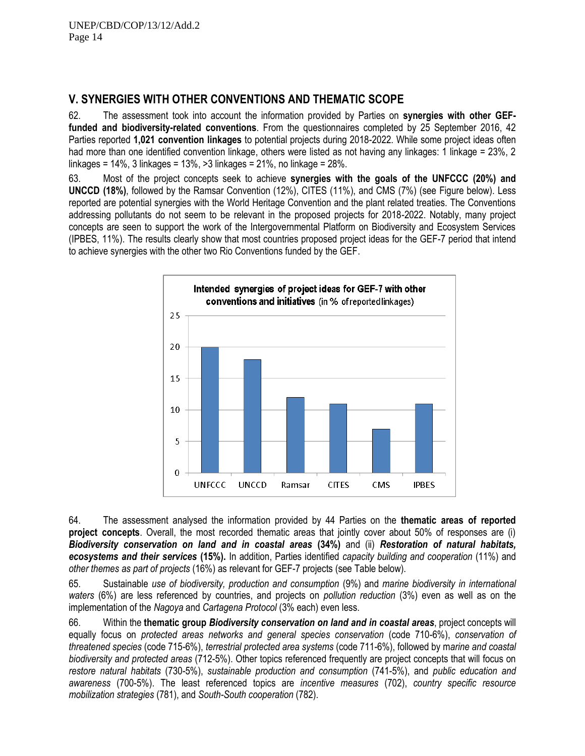### **V. SYNERGIES WITH OTHER CONVENTIONS AND THEMATIC SCOPE**

62. The assessment took into account the information provided by Parties on **synergies with other GEFfunded and biodiversity-related conventions**. From the questionnaires completed by 25 September 2016, 42 Parties reported **1,021 convention linkages** to potential projects during 2018-2022. While some project ideas often had more than one identified convention linkage, others were listed as not having any linkages: 1 linkage = 23%, 2 linkages = 14%, 3 linkages = 13%, >3 linkages = 21%, no linkage = 28%.

63. Most of the project concepts seek to achieve **synergies with the goals of the UNFCCC (20%) and UNCCD (18%)**, followed by the Ramsar Convention (12%), CITES (11%), and CMS (7%) (see Figure below). Less reported are potential synergies with the World Heritage Convention and the plant related treaties. The Conventions addressing pollutants do not seem to be relevant in the proposed projects for 2018-2022. Notably, many project concepts are seen to support the work of the Intergovernmental Platform on Biodiversity and Ecosystem Services (IPBES, 11%). The results clearly show that most countries proposed project ideas for the GEF-7 period that intend to achieve synergies with the other two Rio Conventions funded by the GEF.



64. The assessment analysed the information provided by 44 Parties on the **thematic areas of reported project concepts**. Overall, the most recorded thematic areas that jointly cover about 50% of responses are (i) *Biodiversity conservation on land and in coastal areas* **(34%)** and (ii) *Restoration of natural habitats, ecosystems and their services* **(15%).** In addition, Parties identified *capacity building and cooperation* (11%) and *other themes as part of projects* (16%) as relevant for GEF-7 projects (see Table below).

65. Sustainable *use of biodiversity, production and consumption* (9%) and *marine biodiversity in international waters* (6%) are less referenced by countries, and projects on *pollution reduction* (3%) even as well as on the implementation of the *Nagoya* and *Cartagena Protocol* (3% each) even less.

66. Within the **thematic group** *Biodiversity conservation on land and in coastal areas*, project concepts will equally focus on *protected areas networks and general species conservation* (code 710-6%), *conservation of threatened species* (code 715-6%), *terrestrial protected area systems* (code 711-6%), followed by m*arine and coastal biodiversity and protected areas* (712-5%). Other topics referenced frequently are project concepts that will focus on *restore natural habitats* (730-5%), *sustainable production and consumption* (741-5%), and *public education and awareness* (700-5%). The least referenced topics are *incentive measures* (702), *country specific resource mobilization strategies* (781), and *South-South cooperation* (782).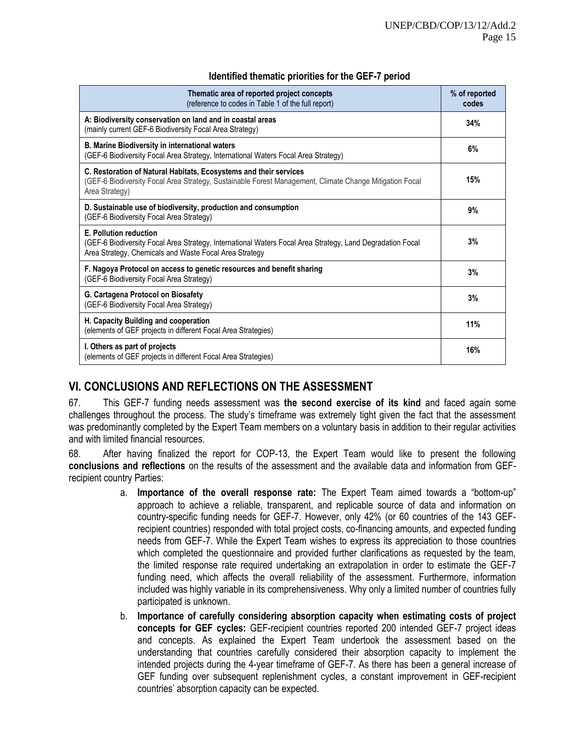| Thematic area of reported project concepts<br>(reference to codes in Table 1 of the full report)                                                                                               | % of reported<br>codes |
|------------------------------------------------------------------------------------------------------------------------------------------------------------------------------------------------|------------------------|
| A: Biodiversity conservation on land and in coastal areas<br>(mainly current GEF-6 Biodiversity Focal Area Strategy)                                                                           | 34%                    |
| <b>B. Marine Biodiversity in international waters</b><br>(GEF-6 Biodiversity Focal Area Strategy, International Waters Focal Area Strategy)                                                    | 6%                     |
| C. Restoration of Natural Habitats, Ecosystems and their services<br>(GEF-6 Biodiversity Focal Area Strategy, Sustainable Forest Management, Climate Change Mitigation Focal<br>Area Strategy) | 15%                    |
| D. Sustainable use of biodiversity, production and consumption<br>(GEF-6 Biodiversity Focal Area Strategy)                                                                                     | 9%                     |
| E. Pollution reduction<br>(GEF-6 Biodiversity Focal Area Strategy, International Waters Focal Area Strategy, Land Degradation Focal<br>Area Strategy, Chemicals and Waste Focal Area Strategy  | 3%                     |
| F. Nagoya Protocol on access to genetic resources and benefit sharing<br>(GEF-6 Biodiversity Focal Area Strategy)                                                                              | 3%                     |
| G. Cartagena Protocol on Biosafety<br>(GEF-6 Biodiversity Focal Area Strategy)                                                                                                                 | 3%                     |
| H. Capacity Building and cooperation<br>(elements of GEF projects in different Focal Area Strategies)                                                                                          | 11%                    |
| I. Others as part of projects<br>(elements of GEF projects in different Focal Area Strategies)                                                                                                 | 16%                    |

#### **Identified thematic priorities for the GEF-7 period**

### **VI. CONCLUSIONS AND REFLECTIONS ON THE ASSESSMENT**

67. This GEF-7 funding needs assessment was **the second exercise of its kind** and faced again some challenges throughout the process. The study's timeframe was extremely tight given the fact that the assessment was predominantly completed by the Expert Team members on a voluntary basis in addition to their regular activities and with limited financial resources.

68. After having finalized the report for COP-13, the Expert Team would like to present the following **conclusions and reflections** on the results of the assessment and the available data and information from GEFrecipient country Parties:

- a. **Importance of the overall response rate:** The Expert Team aimed towards a "bottom-up" approach to achieve a reliable, transparent, and replicable source of data and information on country-specific funding needs for GEF-7. However, only 42% (or 60 countries of the 143 GEFrecipient countries) responded with total project costs, co-financing amounts, and expected funding needs from GEF-7. While the Expert Team wishes to express its appreciation to those countries which completed the questionnaire and provided further clarifications as requested by the team, the limited response rate required undertaking an extrapolation in order to estimate the GEF-7 funding need, which affects the overall reliability of the assessment. Furthermore, information included was highly variable in its comprehensiveness. Why only a limited number of countries fully participated is unknown.
- b. **Importance of carefully considering absorption capacity when estimating costs of project concepts for GEF cycles:** GEF-recipient countries reported 200 intended GEF-7 project ideas and concepts. As explained the Expert Team undertook the assessment based on the understanding that countries carefully considered their absorption capacity to implement the intended projects during the 4-year timeframe of GEF-7. As there has been a general increase of GEF funding over subsequent replenishment cycles, a constant improvement in GEF-recipient countries' absorption capacity can be expected.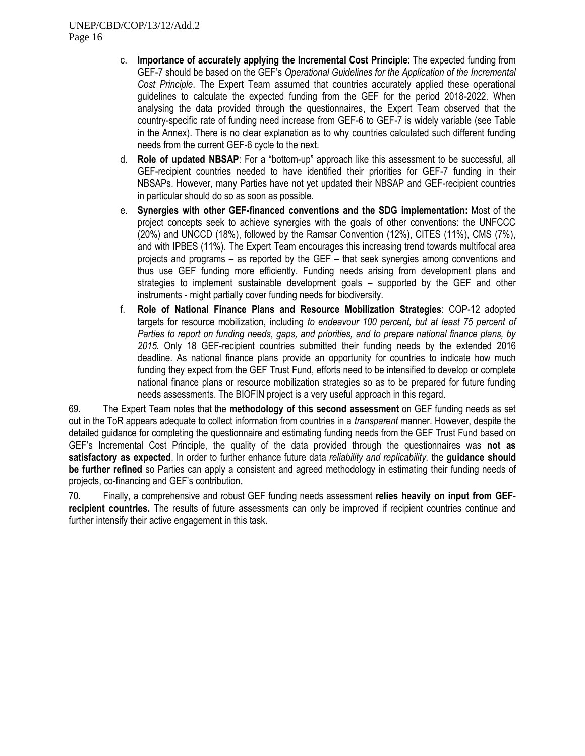- c. **Importance of accurately applying the Incremental Cost Principle**: The expected funding from GEF-7 should be based on the GEF's *Operational Guidelines for the Application of the Incremental Cost Principle*. The Expert Team assumed that countries accurately applied these operational guidelines to calculate the expected funding from the GEF for the period 2018-2022. When analysing the data provided through the questionnaires, the Expert Team observed that the country-specific rate of funding need increase from GEF-6 to GEF-7 is widely variable (see Table in the Annex). There is no clear explanation as to why countries calculated such different funding needs from the current GEF-6 cycle to the next.
- d. **Role of updated NBSAP**: For a "bottom-up" approach like this assessment to be successful, all GEF-recipient countries needed to have identified their priorities for GEF-7 funding in their NBSAPs. However, many Parties have not yet updated their NBSAP and GEF-recipient countries in particular should do so as soon as possible.
- e. **Synergies with other GEF-financed conventions and the SDG implementation:** Most of the project concepts seek to achieve synergies with the goals of other conventions: the UNFCCC (20%) and UNCCD (18%), followed by the Ramsar Convention (12%), CITES (11%), CMS (7%), and with IPBES (11%). The Expert Team encourages this increasing trend towards multifocal area projects and programs – as reported by the GEF – that seek synergies among conventions and thus use GEF funding more efficiently. Funding needs arising from development plans and strategies to implement sustainable development goals – supported by the GEF and other instruments - might partially cover funding needs for biodiversity.
- f. **Role of National Finance Plans and Resource Mobilization Strategies**: COP-12 adopted targets for resource mobilization, including *to endeavour 100 percent, but at least 75 percent of Parties to report on funding needs, gaps, and priorities, and to prepare national finance plans, by 2015.* Only 18 GEF-recipient countries submitted their funding needs by the extended 2016 deadline. As national finance plans provide an opportunity for countries to indicate how much funding they expect from the GEF Trust Fund, efforts need to be intensified to develop or complete national finance plans or resource mobilization strategies so as to be prepared for future funding needs assessments. The BIOFIN project is a very useful approach in this regard.

69. The Expert Team notes that the **methodology of this second assessment** on GEF funding needs as set out in the ToR appears adequate to collect information from countries in a *transparent* manner. However, despite the detailed guidance for completing the questionnaire and estimating funding needs from the GEF Trust Fund based on GEF's Incremental Cost Principle, the quality of the data provided through the questionnaires was **not as satisfactory as expected**. In order to further enhance future data *reliability and replicability,* the **guidance should be further refined** so Parties can apply a consistent and agreed methodology in estimating their funding needs of projects, co-financing and GEF's contribution.

70. Finally, a comprehensive and robust GEF funding needs assessment **relies heavily on input from GEFrecipient countries.** The results of future assessments can only be improved if recipient countries continue and further intensify their active engagement in this task.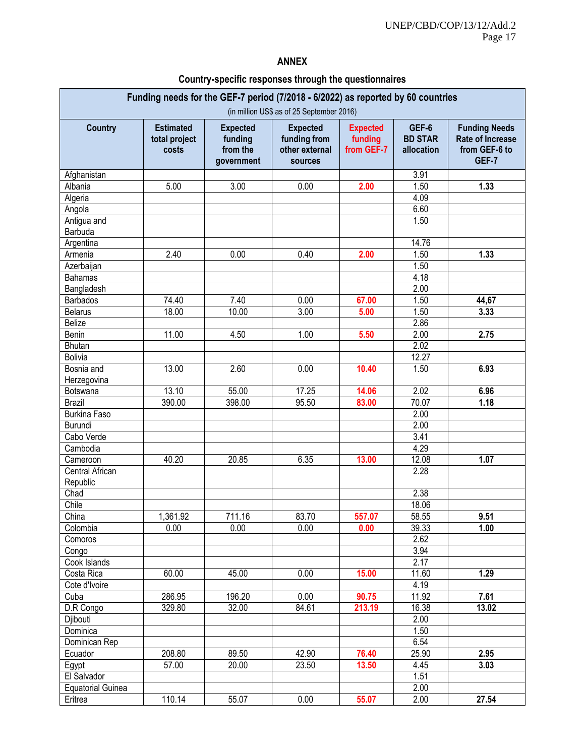### **ANNEX**

### **Country-specific responses through the questionnaires**

| Funding needs for the GEF-7 period (7/2018 - 6/2022) as reported by 60 countries<br>(in million US\$ as of 25 September 2016) |                                            |                                                      |                                                              |                                          |                                       |                                                                    |
|-------------------------------------------------------------------------------------------------------------------------------|--------------------------------------------|------------------------------------------------------|--------------------------------------------------------------|------------------------------------------|---------------------------------------|--------------------------------------------------------------------|
| <b>Country</b>                                                                                                                | <b>Estimated</b><br>total project<br>costs | <b>Expected</b><br>funding<br>from the<br>government | <b>Expected</b><br>funding from<br>other external<br>sources | <b>Expected</b><br>funding<br>from GEF-7 | GEF-6<br><b>BD STAR</b><br>allocation | <b>Funding Needs</b><br>Rate of Increase<br>from GEF-6 to<br>GEF-7 |
| Afghanistan                                                                                                                   |                                            |                                                      |                                                              |                                          | 3.91                                  |                                                                    |
| Albania                                                                                                                       | 5.00                                       | 3.00                                                 | 0.00                                                         | 2.00                                     | 1.50                                  | 1.33                                                               |
| Algeria                                                                                                                       |                                            |                                                      |                                                              |                                          | 4.09                                  |                                                                    |
| Angola                                                                                                                        |                                            |                                                      |                                                              |                                          | 6.60                                  |                                                                    |
| Antigua and<br>Barbuda                                                                                                        |                                            |                                                      |                                                              |                                          | 1.50                                  |                                                                    |
| Argentina                                                                                                                     |                                            |                                                      |                                                              |                                          | 14.76                                 |                                                                    |
| Armenia                                                                                                                       | 2.40                                       | 0.00                                                 | 0.40                                                         | 2.00                                     | 1.50                                  | 1.33                                                               |
| Azerbaijan                                                                                                                    |                                            |                                                      |                                                              |                                          | 1.50                                  |                                                                    |
| <b>Bahamas</b>                                                                                                                |                                            |                                                      |                                                              |                                          | 4.18                                  |                                                                    |
| Bangladesh                                                                                                                    |                                            |                                                      |                                                              |                                          | 2.00                                  |                                                                    |
| <b>Barbados</b>                                                                                                               | 74.40                                      | 7.40                                                 | 0.00                                                         | 67.00                                    | 1.50                                  | 44,67                                                              |
| <b>Belarus</b>                                                                                                                | 18.00                                      | 10.00                                                | 3.00                                                         | 5.00                                     | 1.50                                  | 3.33                                                               |
| <b>Belize</b>                                                                                                                 |                                            |                                                      |                                                              |                                          | 2.86                                  |                                                                    |
| Benin                                                                                                                         | 11.00                                      | 4.50                                                 | 1.00                                                         | 5.50                                     | 2.00                                  | 2.75                                                               |
| <b>Bhutan</b>                                                                                                                 |                                            |                                                      |                                                              |                                          | 2.02                                  |                                                                    |
| <b>Bolivia</b>                                                                                                                |                                            |                                                      |                                                              |                                          | 12.27                                 |                                                                    |
| Bosnia and<br>Herzegovina                                                                                                     | 13.00                                      | 2.60                                                 | 0.00                                                         | 10.40                                    | 1.50                                  | 6.93                                                               |
| Botswana                                                                                                                      | 13.10                                      | 55.00                                                | 17.25                                                        | 14.06                                    | 2.02                                  | 6.96                                                               |
| <b>Brazil</b>                                                                                                                 | 390.00                                     | 398.00                                               | 95.50                                                        | 83.00                                    | 70.07                                 | 1.18                                                               |
| <b>Burkina Faso</b>                                                                                                           |                                            |                                                      |                                                              |                                          | 2.00                                  |                                                                    |
| Burundi                                                                                                                       |                                            |                                                      |                                                              |                                          | 2.00                                  |                                                                    |
| Cabo Verde                                                                                                                    |                                            |                                                      |                                                              |                                          | 3.41                                  |                                                                    |
| Cambodia                                                                                                                      |                                            |                                                      |                                                              |                                          | 4.29                                  |                                                                    |
| Cameroon                                                                                                                      | 40.20                                      | 20.85                                                | 6.35                                                         | 13.00                                    | 12.08                                 | 1.07                                                               |
| Central African                                                                                                               |                                            |                                                      |                                                              |                                          | 2.28                                  |                                                                    |
| Republic                                                                                                                      |                                            |                                                      |                                                              |                                          |                                       |                                                                    |
| Chad                                                                                                                          |                                            |                                                      |                                                              |                                          | 2.38                                  |                                                                    |
| Chile                                                                                                                         |                                            |                                                      |                                                              |                                          | 18.06                                 |                                                                    |
| China                                                                                                                         | 1,361.92                                   | 711.16                                               | 83.70                                                        | 557.07                                   | 58.55                                 | 9.51                                                               |
| Colombia                                                                                                                      | 0.00                                       | 0.00                                                 | 0.00                                                         | 0.00                                     | 39.33                                 | 1.00                                                               |
| Comoros                                                                                                                       |                                            |                                                      |                                                              |                                          | 2.62                                  |                                                                    |
| Congo                                                                                                                         |                                            |                                                      |                                                              |                                          | 3.94                                  |                                                                    |
| Cook Islands                                                                                                                  |                                            |                                                      |                                                              |                                          | 2.17                                  |                                                                    |
| Costa Rica                                                                                                                    | 60.00                                      | 45.00                                                | 0.00                                                         | 15.00                                    | 11.60                                 | 1.29                                                               |
| Cote d'Ivoire                                                                                                                 |                                            |                                                      |                                                              |                                          | 4.19                                  |                                                                    |
| Cuba                                                                                                                          | 286.95                                     | 196.20                                               | 0.00                                                         | 90.75                                    | 11.92                                 | 7.61                                                               |
| D.R Congo                                                                                                                     | 329.80                                     | 32.00                                                | 84.61                                                        | 213.19                                   | 16.38                                 | 13.02                                                              |
| Djibouti                                                                                                                      |                                            |                                                      |                                                              |                                          | 2.00                                  |                                                                    |
| Dominica                                                                                                                      |                                            |                                                      |                                                              |                                          | 1.50                                  |                                                                    |
| Dominican Rep                                                                                                                 |                                            |                                                      |                                                              |                                          | 6.54                                  |                                                                    |
| Ecuador                                                                                                                       | 208.80                                     | 89.50                                                | 42.90                                                        | 76.40                                    | 25.90                                 | 2.95                                                               |
| Egypt                                                                                                                         | 57.00                                      | 20.00                                                | 23.50                                                        | 13.50                                    | 4.45                                  | 3.03                                                               |
| El Salvador                                                                                                                   |                                            |                                                      |                                                              |                                          | 1.51                                  |                                                                    |
| <b>Equatorial Guinea</b>                                                                                                      |                                            |                                                      |                                                              |                                          | 2.00                                  |                                                                    |
| Eritrea                                                                                                                       | 110.14                                     | 55.07                                                | 0.00                                                         | 55.07                                    | 2.00                                  | 27.54                                                              |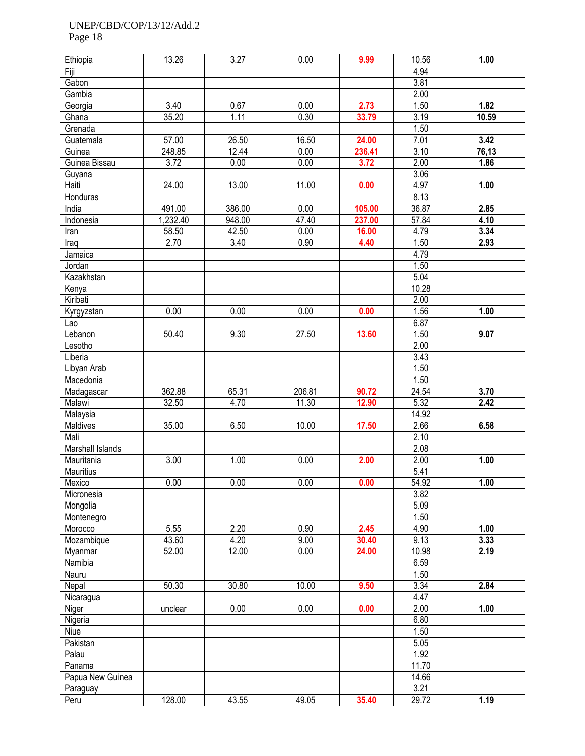Page 18

| Ethiopia         | 13.26    | 3.27   | 0.00   | 9.99   | 10.56 | 1.00  |
|------------------|----------|--------|--------|--------|-------|-------|
| Fiji             |          |        |        |        | 4.94  |       |
| Gabon            |          |        |        |        | 3.81  |       |
|                  |          |        |        |        |       |       |
| Gambia           |          |        |        |        | 2.00  |       |
| Georgia          | 3.40     | 0.67   | 0.00   | 2.73   | 1.50  | 1.82  |
| Ghana            | 35.20    | 1.11   | 0.30   | 33.79  | 3.19  | 10.59 |
| Grenada          |          |        |        |        | 1.50  |       |
| Guatemala        | 57.00    | 26.50  | 16.50  | 24.00  | 7.01  | 3.42  |
| Guinea           | 248.85   | 12.44  | 0.00   | 236.41 | 3.10  | 76,13 |
| Guinea Bissau    | 3.72     | 0.00   | 0.00   | 3.72   | 2.00  | 1.86  |
| Guyana           |          |        |        |        | 3.06  |       |
| Haiti            | 24.00    | 13.00  | 11.00  | 0.00   | 4.97  | 1.00  |
| Honduras         |          |        |        |        | 8.13  |       |
| India            | 491.00   | 386.00 | 0.00   | 105.00 | 36.87 | 2.85  |
| Indonesia        | 1,232.40 | 948.00 | 47.40  | 237.00 | 57.84 | 4.10  |
| Iran             | 58.50    | 42.50  | 0.00   | 16.00  | 4.79  | 3.34  |
| Iraq             | 2.70     | 3.40   | 0.90   | 4.40   | 1.50  | 2.93  |
| Jamaica          |          |        |        |        | 4.79  |       |
| Jordan           |          |        |        |        | 1.50  |       |
| Kazakhstan       |          |        |        |        | 5.04  |       |
|                  |          |        |        |        | 10.28 |       |
| Kenya            |          |        |        |        |       |       |
| Kiribati         |          |        |        |        | 2.00  |       |
| Kyrgyzstan       | 0.00     | 0.00   | 0.00   | 0.00   | 1.56  | 1.00  |
| Lao              |          |        |        |        | 6.87  |       |
| Lebanon          | 50.40    | 9.30   | 27.50  | 13.60  | 1.50  | 9.07  |
| Lesotho          |          |        |        |        | 2.00  |       |
| Liberia          |          |        |        |        | 3.43  |       |
| Libyan Arab      |          |        |        |        | 1.50  |       |
| Macedonia        |          |        |        |        | 1.50  |       |
| Madagascar       | 362.88   | 65.31  | 206.81 | 90.72  | 24.54 | 3.70  |
| Malawi           | 32.50    | 4.70   | 11.30  | 12.90  | 5.32  | 2.42  |
| Malaysia         |          |        |        |        | 14.92 |       |
| Maldives         | 35.00    | 6.50   | 10.00  | 17.50  | 2.66  | 6.58  |
| Mali             |          |        |        |        | 2.10  |       |
| Marshall Islands |          |        |        |        | 2.08  |       |
| Mauritania       | 3.00     | 1.00   | 0.00   | 2.00   | 2.00  | 1.00  |
| Mauritius        |          |        |        |        | 5.41  |       |
| Mexico           | 0.00     | 0.00   | 0.00   | 0.00   | 54.92 | 1.00  |
| Micronesia       |          |        |        |        | 3.82  |       |
| Mongolia         |          |        |        |        | 5.09  |       |
| Montenegro       |          |        |        |        | 1.50  |       |
| Morocco          | 5.55     | 2.20   | 0.90   | 2.45   | 4.90  | 1.00  |
| Mozambique       | 43.60    | 4.20   | 9.00   | 30.40  | 9.13  | 3.33  |
| Myanmar          | 52.00    | 12.00  | 0.00   | 24.00  | 10.98 | 2.19  |
| Namibia          |          |        |        |        | 6.59  |       |
| Nauru            |          |        |        |        | 1.50  |       |
| Nepal            | 50.30    | 30.80  | 10.00  | 9.50   | 3.34  | 2.84  |
| Nicaragua        |          |        |        |        | 4.47  |       |
| Niger            | unclear  | 0.00   | 0.00   | 0.00   | 2.00  | 1.00  |
| Nigeria          |          |        |        |        | 6.80  |       |
| Niue             |          |        |        |        | 1.50  |       |
| Pakistan         |          |        |        |        | 5.05  |       |
| Palau            |          |        |        |        | 1.92  |       |
|                  |          |        |        |        | 11.70 |       |
| Panama           |          |        |        |        |       |       |
| Papua New Guinea |          |        |        |        | 14.66 |       |
| Paraguay         |          |        |        |        | 3.21  |       |
| Peru             | 128.00   | 43.55  | 49.05  | 35.40  | 29.72 | 1.19  |